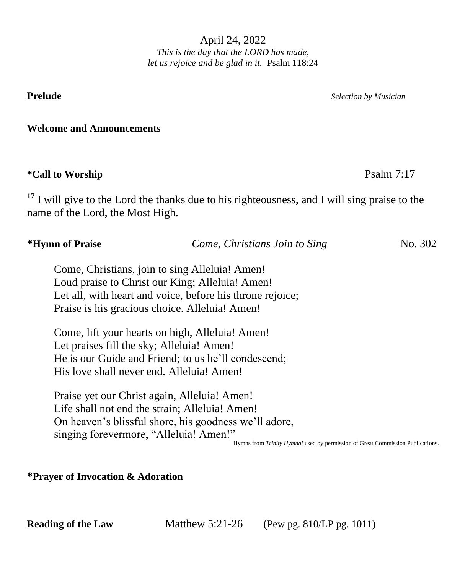April 24, 2022 *This is the day that the LORD has made, let us rejoice and be glad in it.* Psalm 118:24

**Prelude** *Selection by Musician*

#### **Welcome and Announcements**

### **\*Call to Worship** Psalm 7:17

<sup>17</sup> I will give to the Lord the thanks due to his righteousness, and I will sing praise to the name of the Lord, the Most High.

| No. 302                       |
|-------------------------------|
| Come, Christians Join to Sing |

Come, Christians, join to sing Alleluia! Amen! Loud praise to Christ our King; Alleluia! Amen! Let all, with heart and voice, before his throne rejoice; Praise is his gracious choice. Alleluia! Amen!

Come, lift your hearts on high, Alleluia! Amen! Let praises fill the sky; Alleluia! Amen! He is our Guide and Friend; to us he'll condescend; His love shall never end. Alleluia! Amen!

Praise yet our Christ again, Alleluia! Amen! Life shall not end the strain; Alleluia! Amen! On heaven's blissful shore, his goodness we'll adore, singing forevermore, "Alleluia! Amen!"

Hymns from *Trinity Hymnal* used by permission of Great Commission Publications.

### **\*Prayer of Invocation & Adoration**

**Reading of the Law** Matthew 5:21-26 (Pew pg. 810/LP pg. 1011)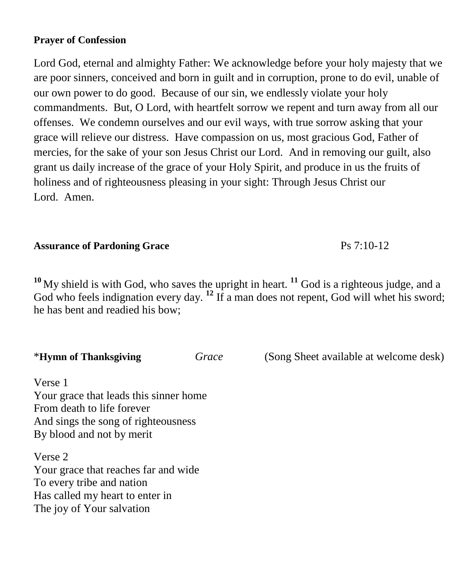### **Prayer of Confession**

Lord God, eternal and almighty Father: We acknowledge before your holy majesty that we are poor sinners, conceived and born in guilt and in corruption, prone to do evil, unable of our own power to do good. Because of our sin, we endlessly violate your holy commandments. But, O Lord, with heartfelt sorrow we repent and turn away from all our offenses. We condemn ourselves and our evil ways, with true sorrow asking that your grace will relieve our distress. Have compassion on us, most gracious God, Father of mercies, for the sake of your son Jesus Christ our Lord. And in removing our guilt, also grant us daily increase of the grace of your Holy Spirit, and produce in us the fruits of holiness and of righteousness pleasing in your sight: Through Jesus Christ our Lord. Amen.

### **Assurance of Pardoning Grace** Ps 7:10-12

**<sup>10</sup>** My shield is with God, who saves the upright in heart. **<sup>11</sup>** God is a righteous judge, and a God who feels indignation every day. <sup>12</sup> If a man does not repent, God will whet his sword; he has bent and readied his bow;

\***Hymn of Thanksgiving** *Grace* (Song Sheet available at welcome desk) Verse 1 Your grace that leads this sinner home From death to life forever And sings the song of righteousness By blood and not by merit Verse 2 Your grace that reaches far and wide To every tribe and nation Has called my heart to enter in The joy of Your salvation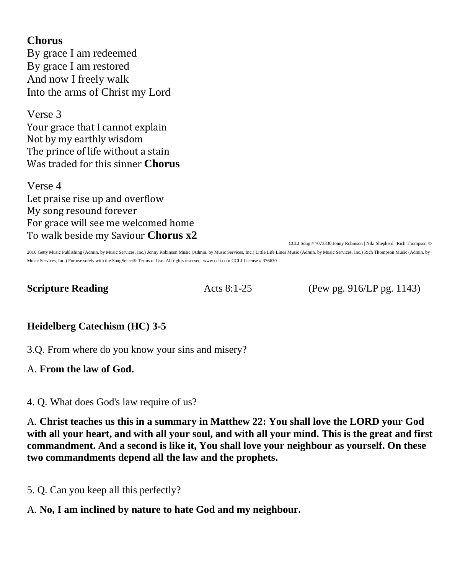**Chorus**

By grace I am redeemed By grace I am restored And now I freely walk Into the arms of Christ my Lord

Verse 3 Your grace that I cannot explain Not by my earthly wisdom The prince of life without a stain Was traded for this sinner **Chorus**

Verse 4 Let praise rise up and overflow My song resound forever For grace will see me welcomed home To walk beside my Saviour **Chorus x2**

CCLI Song # 7073330 Jonny Robinson | Niki Shepherd | Rich Thompson ©

 2016 Getty Music Publishing (Admin. by Music Services, Inc.) Jonny Robinson Music (Admin. by Music Services, Inc.) Little Life Lines Music (Admin. by Music Services, Inc.) Rich Thompson Music (Admin. by Music Services, Inc.) For use solely with the SongSelect® [Terms of Use.](https://songselect.ccli.com/about/termsofuse) All rights reserved. [www.ccli.com](http://www.ccli.com/) CCLI License # 376630

**Scripture Reading Acts 8:1-25** (Pew pg. 916/LP pg. 1143)

# **Heidelberg Catechism (HC) 3-5**

3.Q. From where do you know your sins and misery?

A. **From the law of God.**

4. Q. What does God's law require of us?

A. **Christ teaches us this in a summary in Matthew 22: You shall love the LORD your God with all your heart, and with all your soul, and with all your mind. This is the great and first commandment. And a second is like it, You shall love your neighbour as yourself. On these two commandments depend all the law and the prophets.**

5. Q. Can you keep all this perfectly?

A. **No, I am inclined by nature to hate God and my neighbour.**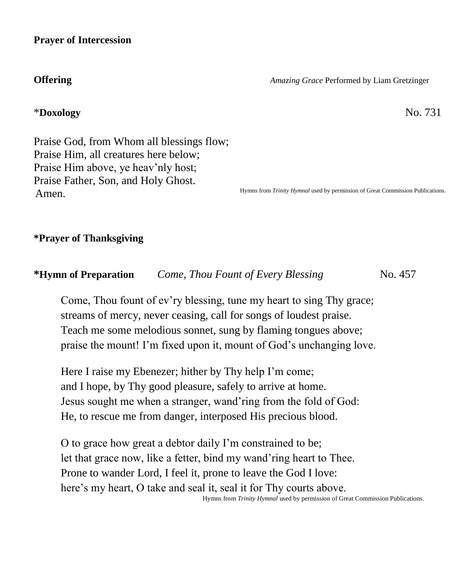### **Prayer of Intercession**

### \***Doxology** No. 731

Praise God, from Whom all blessings flow; Praise Him, all creatures here below; Praise Him above, ye heav'nly host; Praise Father, Son, and Holy Ghost. Amen.

**Offering** *Amazing Grace* Performed by Liam Gretzinger

Hymns from *Trinity Hymnal* used by permission of Great Commission Publications.

#### **\*Prayer of Thanksgiving**

| *Hymn of Preparation | Come, Thou Fount of Every Blessing | No. 457 |
|----------------------|------------------------------------|---------|
|                      |                                    |         |

Come, Thou fount of ev'ry blessing, tune my heart to sing Thy grace; streams of mercy, never ceasing, call for songs of loudest praise. Teach me some melodious sonnet, sung by flaming tongues above; praise the mount! I'm fixed upon it, mount of God's unchanging love.

Here I raise my Ebenezer; hither by Thy help I'm come; and I hope, by Thy good pleasure, safely to arrive at home. Jesus sought me when a stranger, wand'ring from the fold of God: He, to rescue me from danger, interposed His precious blood.

O to grace how great a debtor daily I'm constrained to be; let that grace now, like a fetter, bind my wand'ring heart to Thee. Prone to wander Lord, I feel it, prone to leave the God I love: here's my heart, O take and seal it, seal it for Thy courts above. Hymns from *Trinity Hymnal* used by permission of Great Commission Publications.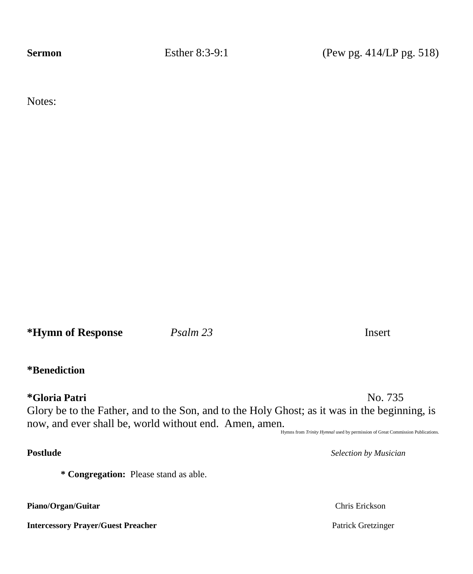**Sermon** Esther 8:3-9:1 (Pew pg. 414/LP pg. 518)

Notes:

| *Hymn of Response | Psalm 23 | Insert |
|-------------------|----------|--------|
|-------------------|----------|--------|

## **\*Benediction**

# **\*Gloria Patri** No. 735

Glory be to the Father, and to the Son, and to the Holy Ghost; as it was in the beginning, is now, and ever shall be, world without end. Amen, amen. Hymns from *Trinity Hymnal* used by permission of Great Commission Publications.

**\* Congregation:** Please stand as able.

**Piano/Organ/Guitar** Chris Erickson

**Intercessory Prayer/Guest Preacher** Patrick Gretzinger

**Postlude** *Selection by Musician*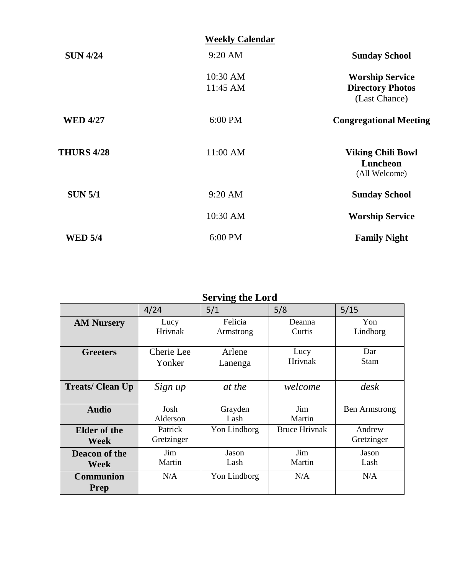|                   | <b>Weekly Calendar</b>   |                                                                    |
|-------------------|--------------------------|--------------------------------------------------------------------|
| <b>SUN 4/24</b>   | $9:20$ AM                | <b>Sunday School</b>                                               |
|                   | $10:30$ AM<br>$11:45$ AM | <b>Worship Service</b><br><b>Directory Photos</b><br>(Last Chance) |
| <b>WED 4/27</b>   | $6:00$ PM                | <b>Congregational Meeting</b>                                      |
| <b>THURS 4/28</b> | 11:00 AM                 | <b>Viking Chili Bowl</b><br>Luncheon<br>(All Welcome)              |
| <b>SUN 5/1</b>    | $9:20$ AM                | <b>Sunday School</b>                                               |
|                   | 10:30 AM                 | <b>Worship Service</b>                                             |
| <b>WED 5/4</b>    | $6:00$ PM                | <b>Family Night</b>                                                |

# **Serving the Lord**

|                          | 4/24                  | 5/1                  | 5/8                  | 5/15                 |
|--------------------------|-----------------------|----------------------|----------------------|----------------------|
| <b>AM Nursery</b>        | Lucy<br>Hrivnak       | Felicia<br>Armstrong | Deanna<br>Curtis     | Yon<br>Lindborg      |
| <b>Greeters</b>          | Cherie Lee<br>Yonker  | Arlene<br>Lanenga    | Lucy<br>Hrivnak      | Dar<br><b>Stam</b>   |
| <b>Treats/Clean Up</b>   | Sign up               | at the               | welcome              | desk                 |
| <b>Audio</b>             | Josh<br>Alderson      | Grayden<br>Lash      | Jim<br>Martin        | <b>Ben Armstrong</b> |
| Elder of the<br>Week     | Patrick<br>Gretzinger | Yon Lindborg         | <b>Bruce Hrivnak</b> | Andrew<br>Gretzinger |
| Deacon of the<br>Week    | Jim<br>Martin         | Jason<br>Lash        | Jim<br>Martin        | Jason<br>Lash        |
| <b>Communion</b><br>Prep | N/A                   | Yon Lindborg         | N/A                  | N/A                  |